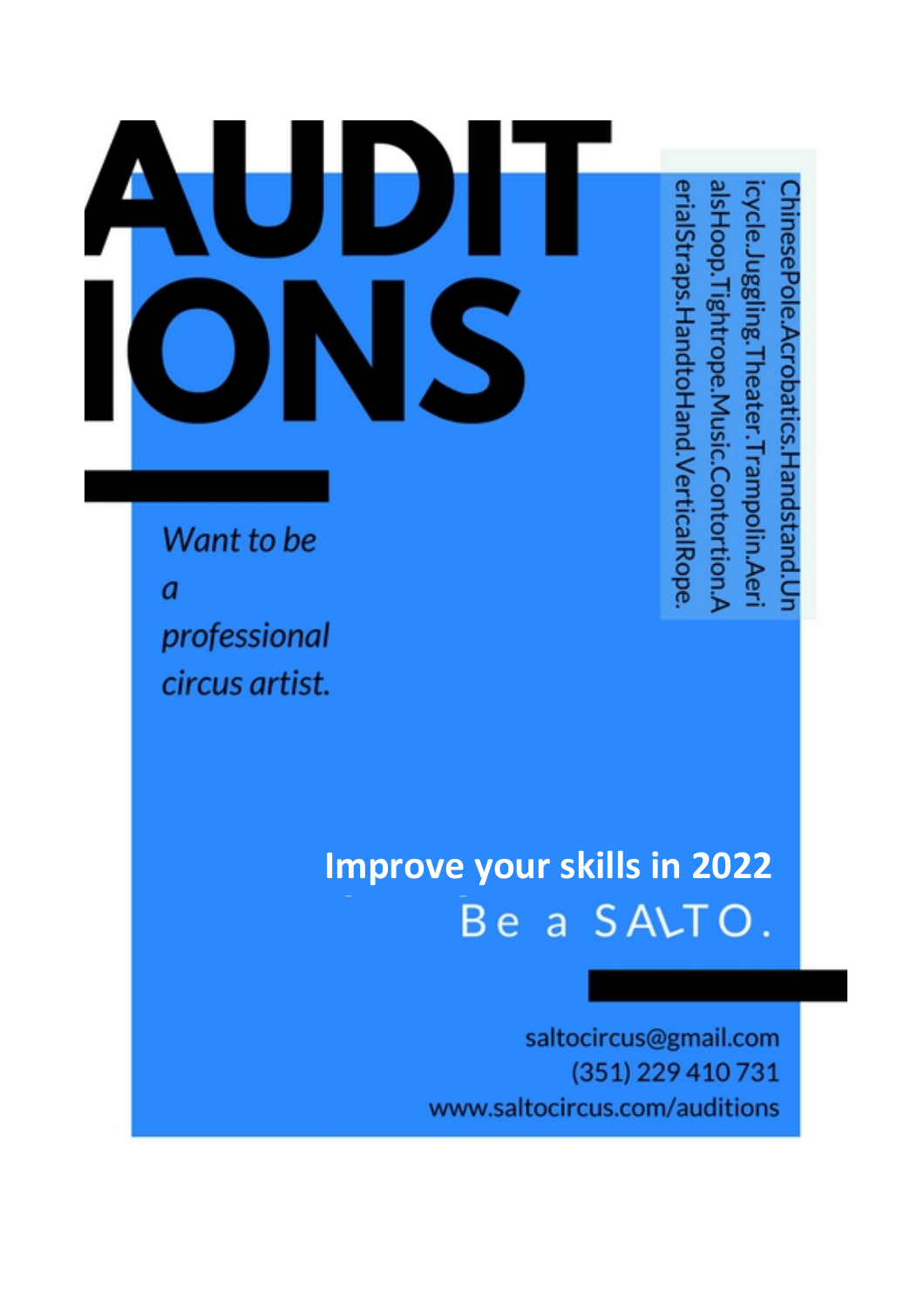# $\mathcal{L}_{\mathcal{A}}$

erialStraps.HandtoHand.VerticalRope. **ISHOOD.** ycle. nesePole.Acrobatics.Handstand.Un uggling. Ightrope. heater.Trampolin.Aer Music.Contortion.A

Want to be  $\overline{a}$ professional circus artist.

## **Improve your skills in 2022** Be a SALTO.

saltocircus@gmail.com (351) 229 410 731 www.saltocircus.com/auditions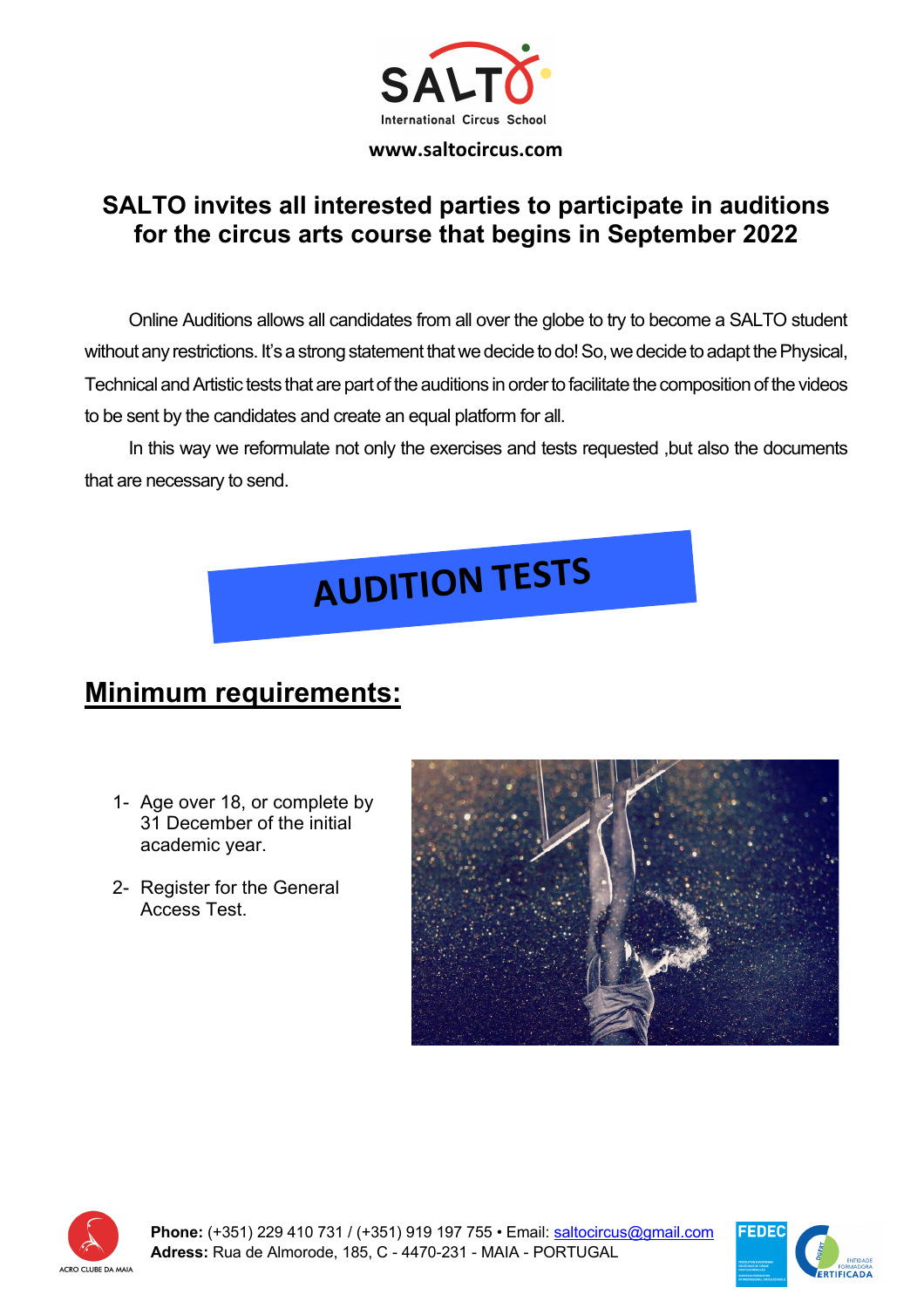

#### **SALTO invites all interested parties to participate in auditions for the circus arts course that begins in September 2022**

Online Auditions allows all candidates from all over the globe to try to become a SALTO student without any restrictions. It's a strong statement that we decide to do! So, we decide to adapt the Physical, Technical and Artistic tests that are part of the auditions in order to facilitate the composition of the videos to be sent by the candidates and create an equal platform for all.

In this way we reformulate not only the exercises and tests requested ,but also the documents that are necessary to send.

# **AUDITION TESTS**

#### **Minimum requirements:**

- 1- Age over 18, or complete by 31 December of the initial academic year.
- 2- Register for the General Access Test.





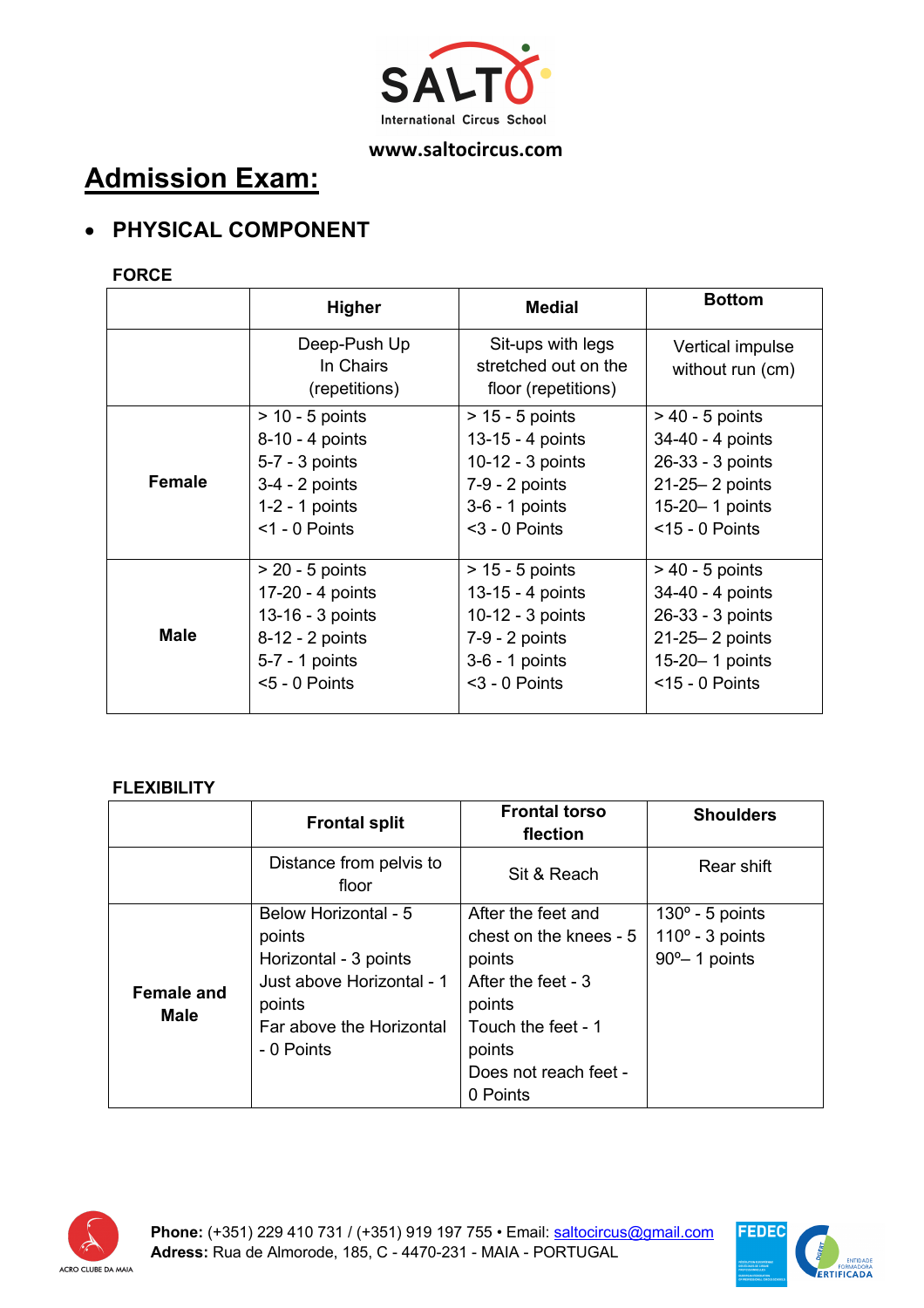

#### **Admission Exam:**

#### • **PHYSICAL COMPONENT**

#### **FORCE**

|             | Higher                                     | <b>Medial</b>                                                    | <b>Bottom</b>                        |
|-------------|--------------------------------------------|------------------------------------------------------------------|--------------------------------------|
|             | Deep-Push Up<br>In Chairs<br>(repetitions) | Sit-ups with legs<br>stretched out on the<br>floor (repetitions) | Vertical impulse<br>without run (cm) |
| Female      | $> 10 - 5$ points                          | $> 15 - 5$ points                                                | $> 40 - 5$ points                    |
|             | 8-10 - 4 points                            | 13-15 - 4 points                                                 | 34-40 - 4 points                     |
|             | $5-7 - 3$ points                           | 10-12 - 3 points                                                 | 26-33 - 3 points                     |
|             | $3-4 - 2$ points                           | $7-9 - 2$ points                                                 | $21-25-2$ points                     |
|             | $1-2 - 1$ points                           | $3-6 - 1$ points                                                 | 15-20-1 points                       |
|             | $<$ 1 - 0 Points                           | $3 - 0$ Points                                                   | $<$ 15 - 0 Points                    |
| <b>Male</b> | $> 20 - 5$ points                          | $> 15 - 5$ points                                                | $> 40 - 5$ points                    |
|             | 17-20 - 4 points                           | 13-15 - 4 points                                                 | 34-40 - 4 points                     |
|             | 13-16 - 3 points                           | 10-12 - 3 points                                                 | 26-33 - 3 points                     |
|             | 8-12 - 2 points                            | 7-9 - 2 points                                                   | 21-25-2 points                       |
|             | 5-7 - 1 points                             | 3-6 - 1 points                                                   | 15-20-1 points                       |
|             | $< 5 - 0$ Points                           | $3 - 0$ Points                                                   | $<$ 15 - 0 Points                    |

#### **FLEXIBILITY**

|                                  | <b>Frontal split</b>                                                                                                                     | <b>Frontal torso</b><br>flection                                                                                                                            | <b>Shoulders</b>                                                              |
|----------------------------------|------------------------------------------------------------------------------------------------------------------------------------------|-------------------------------------------------------------------------------------------------------------------------------------------------------------|-------------------------------------------------------------------------------|
|                                  | Distance from pelvis to<br>floor                                                                                                         | Sit & Reach                                                                                                                                                 | Rear shift                                                                    |
| <b>Female and</b><br><b>Male</b> | Below Horizontal - 5<br>points<br>Horizontal - 3 points<br>Just above Horizontal - 1<br>points<br>Far above the Horizontal<br>- 0 Points | After the feet and<br>chest on the knees - 5<br>points<br>After the feet - 3<br>points<br>Touch the feet - 1<br>points<br>Does not reach feet -<br>0 Points | $130^{\circ}$ - 5 points<br>$110^{\circ}$ - 3 points<br>$90^{\circ}$ 1 points |



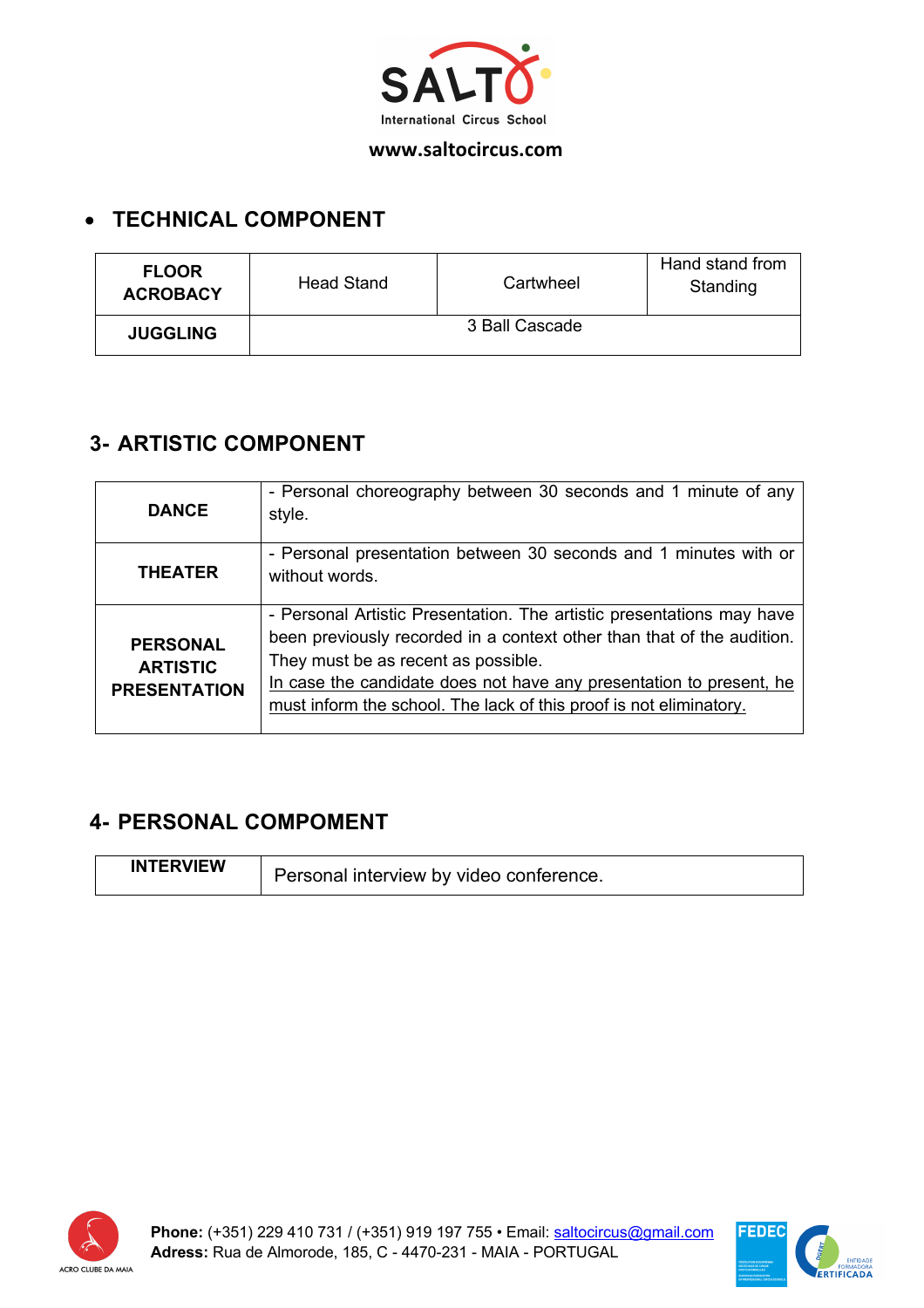

#### • **TECHNICAL COMPONENT**

| <b>FLOOR</b><br><b>ACROBACY</b> | <b>Head Stand</b> | Cartwheel | Hand stand from<br>Standing |
|---------------------------------|-------------------|-----------|-----------------------------|
| <b>JUGGLING</b>                 | 3 Ball Cascade    |           |                             |

#### **3- ARTISTIC COMPONENT**

| <b>DANCE</b>                                              | - Personal choreography between 30 seconds and 1 minute of any<br>style.                                                                                                                                                                                                                                                            |
|-----------------------------------------------------------|-------------------------------------------------------------------------------------------------------------------------------------------------------------------------------------------------------------------------------------------------------------------------------------------------------------------------------------|
| <b>THEATER</b>                                            | - Personal presentation between 30 seconds and 1 minutes with or<br>without words.                                                                                                                                                                                                                                                  |
| <b>PERSONAL</b><br><b>ARTISTIC</b><br><b>PRESENTATION</b> | - Personal Artistic Presentation. The artistic presentations may have<br>been previously recorded in a context other than that of the audition.<br>They must be as recent as possible.<br>In case the candidate does not have any presentation to present, he<br>must inform the school. The lack of this proof is not eliminatory. |

#### **4- PERSONAL COMPOMENT**

| <b>INTERVIEW</b> | Personal interview by video conference. |
|------------------|-----------------------------------------|
|                  |                                         |



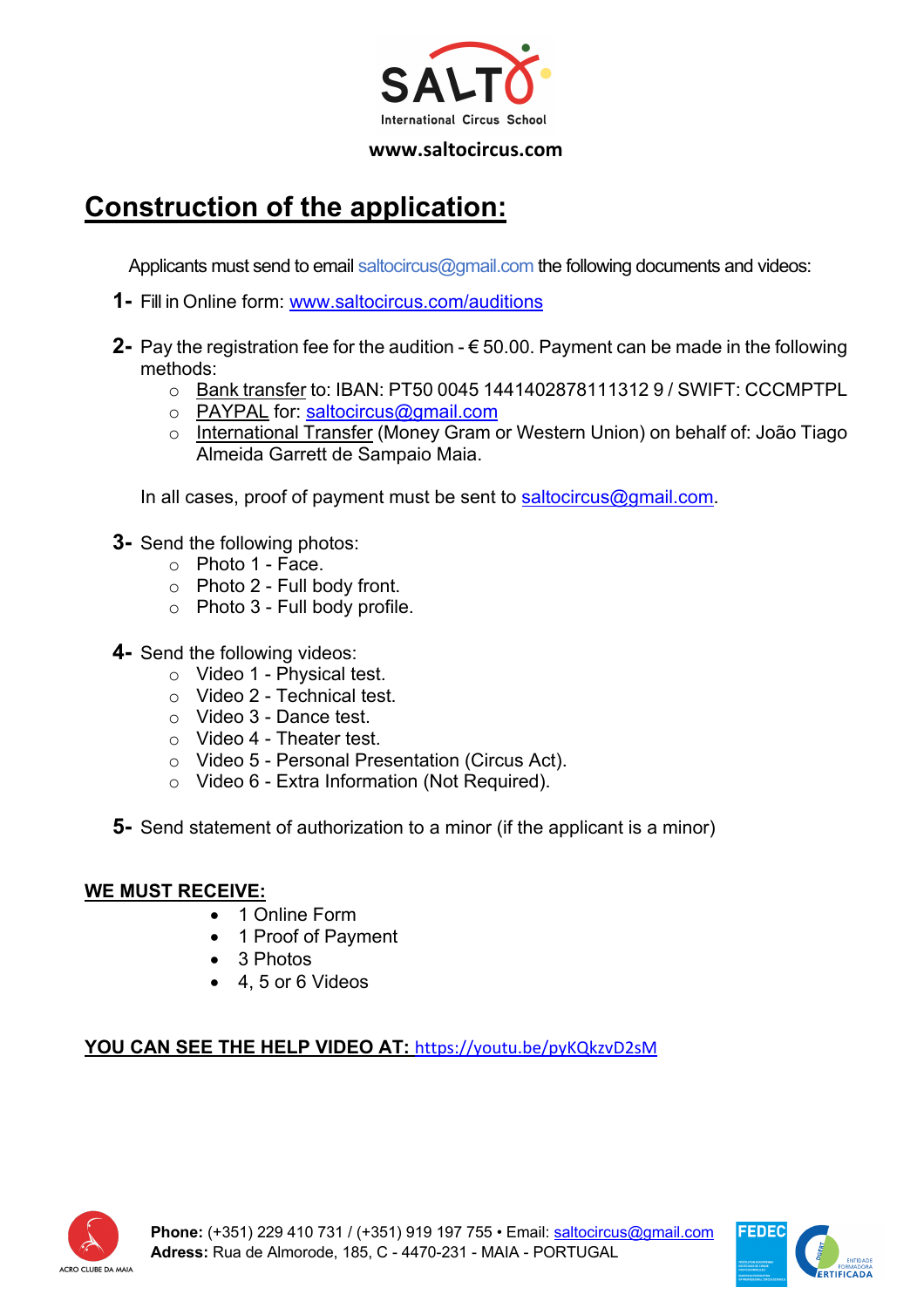

#### **Construction of the application:**

Applicants must send to email saltocircus@gmail.com the following documents and videos:

- **1-** Fill in Online form: www.saltocircus.com/auditions
- **2-** Pay the registration fee for the audition € 50.00. Payment can be made in the following methods:
	- o Bank transfer to: IBAN: PT50 0045 1441402878111312 9 / SWIFT: CCCMPTPL
	- o PAYPAL for: saltocircus@gmail.com
	- o International Transfer (Money Gram or Western Union) on behalf of: João Tiago Almeida Garrett de Sampaio Maia.

In all cases, proof of payment must be sent to saltocircus@gmail.com.

- **3-** Send the following photos:
	- o Photo 1 Face.
	- o Photo 2 Full body front.
	- o Photo 3 Full body profile.
- **4-** Send the following videos:
	- o Video 1 Physical test.
	- o Video 2 Technical test.
	- o Video 3 Dance test.
	- o Video 4 Theater test.
	- o Video 5 Personal Presentation (Circus Act).
	- o Video 6 Extra Information (Not Required).
- **5-** Send statement of authorization to a minor (if the applicant is a minor)

#### **WE MUST RECEIVE:**

- 1 Online Form
- 1 Proof of Payment
- 3 Photos
- 4, 5 or 6 Videos

#### **YOU CAN SEE THE HELP VIDEO AT:** https://youtu.be/pyKQkzvD2sM